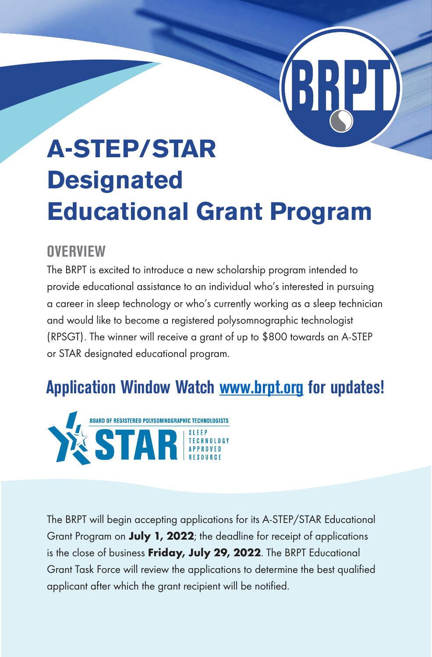# **A-STEP/STAR Designated Educational Grant Program**

#### **OVERVIEW**

The BRPT is excited to introduce a new scholarship program intended to provide educational assistance to an individual who's interested in pursuing a career in sleep technology or who's currently working as a sleep technician and would like to become a registered polysomnographic technologist (RPSGT). The winner will receive a grant of up to \$800 towards an A-STEP or STAR designated educational program.

## **Application Window Watch www.brpt.org for updates!**



The BRPT will begin accepting applications for its A-STEP/STAR Educational Grant Program on July 1, 2022; the deadline for receipt of applications is the close of business Friday, July 29, 2022. The BRPT Educational Grant Task Force will review the applications to determine the best qualified applicant after which the grant recipient will be notified.